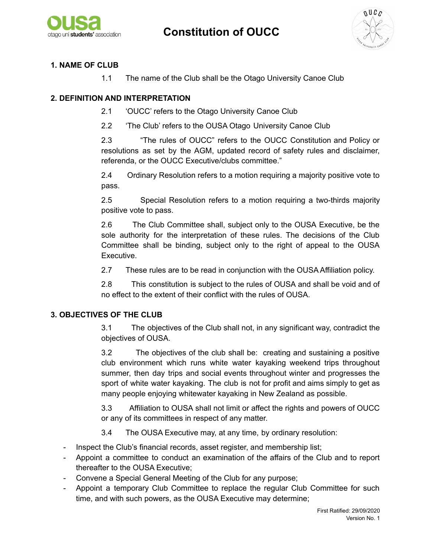



### **1. NAME OF CLUB**

1.1 The name of the Club shall be the Otago University Canoe Club

#### **2. DEFINITION AND INTERPRETATION**

- 2.1 'OUCC' refers to the Otago University Canoe Club
- 2.2 'The Club' refers to the OUSA Otago University Canoe Club

2.3 "The rules of OUCC" refers to the OUCC Constitution and Policy or resolutions as set by the AGM, updated record of safety rules and disclaimer, referenda, or the OUCC Executive/clubs committee."

2.4 Ordinary Resolution refers to a motion requiring a majority positive vote to pass.

2.5 Special Resolution refers to a motion requiring a two-thirds majority positive vote to pass.

2.6 The Club Committee shall, subject only to the OUSA Executive, be the sole authority for the interpretation of these rules. The decisions of the Club Committee shall be binding, subject only to the right of appeal to the OUSA Executive.

2.7 These rules are to be read in conjunction with the OUSA Affiliation policy.

2.8 This constitution is subject to the rules of OUSA and shall be void and of no effect to the extent of their conflict with the rules of OUSA.

#### **3. OBJECTIVES OF THE CLUB**

3.1 The objectives of the Club shall not, in any significant way, contradict the objectives of OUSA.

3.2 The objectives of the club shall be: creating and sustaining a positive club environment which runs white water kayaking weekend trips throughout summer, then day trips and social events throughout winter and progresses the sport of white water kayaking. The club is not for profit and aims simply to get as many people enjoying whitewater kayaking in New Zealand as possible.

3.3 Affiliation to OUSA shall not limit or affect the rights and powers of OUCC or any of its committees in respect of any matter.

- 3.4 The OUSA Executive may, at any time, by ordinary resolution:
- Inspect the Club's financial records, asset register, and membership list;
- Appoint a committee to conduct an examination of the affairs of the Club and to report thereafter to the OUSA Executive;
- Convene a Special General Meeting of the Club for any purpose;
- Appoint a temporary Club Committee to replace the regular Club Committee for such time, and with such powers, as the OUSA Executive may determine;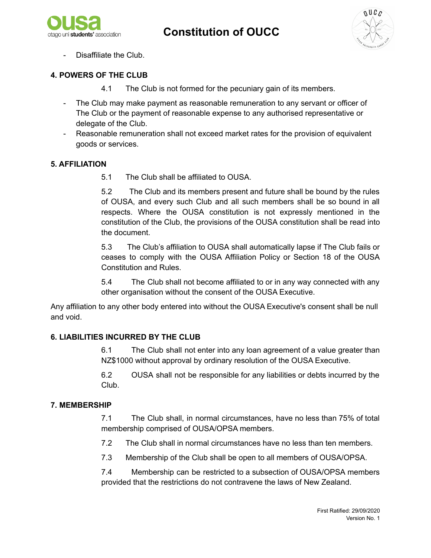



Disaffiliate the Club.

## **4. POWERS OF THE CLUB**

- 4.1 The Club is not formed for the pecuniary gain of its members.
- The Club may make payment as reasonable remuneration to any servant or officer of The Club or the payment of reasonable expense to any authorised representative or delegate of the Club.
- Reasonable remuneration shall not exceed market rates for the provision of equivalent goods or services.

### **5. AFFILIATION**

5.1 The Club shall be affiliated to OUSA.

5.2 The Club and its members present and future shall be bound by the rules of OUSA, and every such Club and all such members shall be so bound in all respects. Where the OUSA constitution is not expressly mentioned in the constitution of the Club, the provisions of the OUSA constitution shall be read into the document.

5.3 The Club's affiliation to OUSA shall automatically lapse if The Club fails or ceases to comply with the OUSA Affiliation Policy or Section 18 of the OUSA Constitution and Rules.

5.4 The Club shall not become affiliated to or in any way connected with any other organisation without the consent of the OUSA Executive.

Any affiliation to any other body entered into without the OUSA Executive's consent shall be null and void.

## **6. LIABILITIES INCURRED BY THE CLUB**

6.1 The Club shall not enter into any loan agreement of a value greater than NZ\$1000 without approval by ordinary resolution of the OUSA Executive.

6.2 OUSA shall not be responsible for any liabilities or debts incurred by the Club.

## **7. MEMBERSHIP**

7.1 The Club shall, in normal circumstances, have no less than 75% of total membership comprised of OUSA/OPSA members.

- 7.2 The Club shall in normal circumstances have no less than ten members.
- 7.3 Membership of the Club shall be open to all members of OUSA/OPSA.

7.4 Membership can be restricted to a subsection of OUSA/OPSA members provided that the restrictions do not contravene the laws of New Zealand.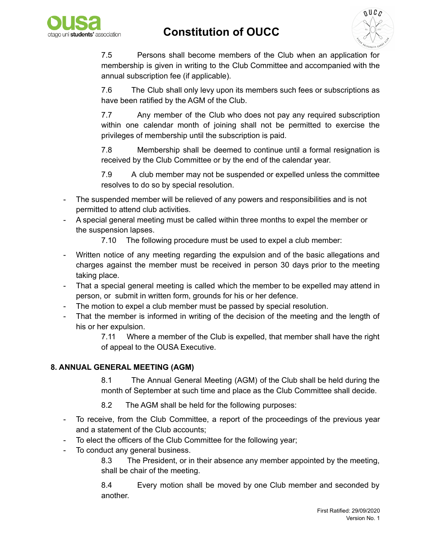



7.5 Persons shall become members of the Club when an application for membership is given in writing to the Club Committee and accompanied with the annual subscription fee (if applicable).

7.6 The Club shall only levy upon its members such fees or subscriptions as have been ratified by the AGM of the Club.

7.7 Any member of the Club who does not pay any required subscription within one calendar month of joining shall not be permitted to exercise the privileges of membership until the subscription is paid.

7.8 Membership shall be deemed to continue until a formal resignation is received by the Club Committee or by the end of the calendar year.

7.9 A club member may not be suspended or expelled unless the committee resolves to do so by special resolution.

- The suspended member will be relieved of any powers and responsibilities and is not permitted to attend club activities.
- A special general meeting must be called within three months to expel the member or the suspension lapses.

7.10 The following procedure must be used to expel a club member:

- Written notice of any meeting regarding the expulsion and of the basic allegations and charges against the member must be received in person 30 days prior to the meeting taking place.
- That a special general meeting is called which the member to be expelled may attend in person, or submit in written form, grounds for his or her defence.
- The motion to expel a club member must be passed by special resolution.
- That the member is informed in writing of the decision of the meeting and the length of his or her expulsion.

7.11 Where a member of the Club is expelled, that member shall have the right of appeal to the OUSA Executive.

### **8. ANNUAL GENERAL MEETING (AGM)**

8.1 The Annual General Meeting (AGM) of the Club shall be held during the month of September at such time and place as the Club Committee shall decide.

- 8.2 The AGM shall be held for the following purposes:
- To receive, from the Club Committee, a report of the proceedings of the previous year and a statement of the Club accounts;
- To elect the officers of the Club Committee for the following year;
- To conduct any general business.

8.3 The President, or in their absence any member appointed by the meeting, shall be chair of the meeting.

8.4 Every motion shall be moved by one Club member and seconded by another.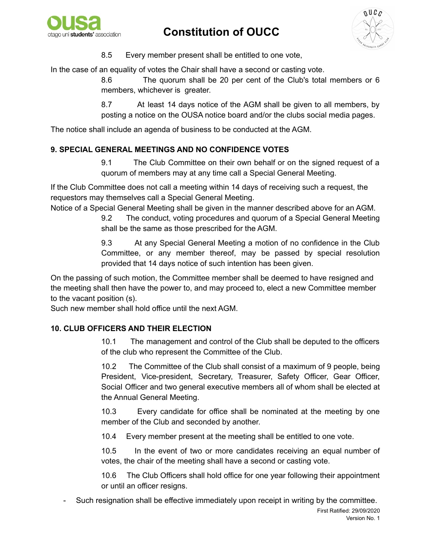



8.5 Every member present shall be entitled to one vote,

In the case of an equality of votes the Chair shall have a second or casting vote.

8.6 The quorum shall be 20 per cent of the Club's total members or 6 members, whichever is greater.

8.7 At least 14 days notice of the AGM shall be given to all members, by posting a notice on the OUSA notice board and/or the clubs social media pages.

The notice shall include an agenda of business to be conducted at the AGM.

### **9. SPECIAL GENERAL MEETINGS AND NO CONFIDENCE VOTES**

9.1 The Club Committee on their own behalf or on the signed request of a quorum of members may at any time call a Special General Meeting.

If the Club Committee does not call a meeting within 14 days of receiving such a request, the requestors may themselves call a Special General Meeting.

Notice of a Special General Meeting shall be given in the manner described above for an AGM.

9.2 The conduct, voting procedures and quorum of a Special General Meeting shall be the same as those prescribed for the AGM.

9.3 At any Special General Meeting a motion of no confidence in the Club Committee, or any member thereof, may be passed by special resolution provided that 14 days notice of such intention has been given.

On the passing of such motion, the Committee member shall be deemed to have resigned and the meeting shall then have the power to, and may proceed to, elect a new Committee member to the vacant position (s).

Such new member shall hold office until the next AGM.

### **10. CLUB OFFICERS AND THEIR ELECTION**

10.1 The management and control of the Club shall be deputed to the officers of the club who represent the Committee of the Club.

10.2 The Committee of the Club shall consist of a maximum of 9 people, being President, Vice-president, Secretary, Treasurer, Safety Officer, Gear Officer, Social Officer and two general executive members all of whom shall be elected at the Annual General Meeting.

10.3 Every candidate for office shall be nominated at the meeting by one member of the Club and seconded by another.

10.4 Every member present at the meeting shall be entitled to one vote.

10.5 In the event of two or more candidates receiving an equal number of votes, the chair of the meeting shall have a second or casting vote.

10.6 The Club Officers shall hold office for one year following their appointment or until an officer resigns.

Such resignation shall be effective immediately upon receipt in writing by the committee.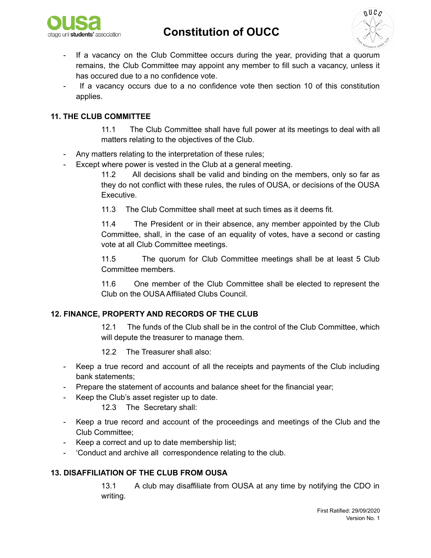



- If a vacancy on the Club Committee occurs during the year, providing that a quorum remains, the Club Committee may appoint any member to fill such a vacancy, unless it has occured due to a no confidence vote.
- If a vacancy occurs due to a no confidence vote then section 10 of this constitution applies.

### **11. THE CLUB COMMITTEE**

11.1 The Club Committee shall have full power at its meetings to deal with all matters relating to the objectives of the Club.

- Any matters relating to the interpretation of these rules;
- Except where power is vested in the Club at a general meeting.

11.2 All decisions shall be valid and binding on the members, only so far as they do not conflict with these rules, the rules of OUSA, or decisions of the OUSA Executive.

11.3 The Club Committee shall meet at such times as it deems fit.

11.4 The President or in their absence, any member appointed by the Club Committee, shall, in the case of an equality of votes, have a second or casting vote at all Club Committee meetings.

11.5 The quorum for Club Committee meetings shall be at least 5 Club Committee members.

11.6 One member of the Club Committee shall be elected to represent the Club on the OUSA Affiliated Clubs Council.

### **12. FINANCE, PROPERTY AND RECORDS OF THE CLUB**

12.1 The funds of the Club shall be in the control of the Club Committee, which will depute the treasurer to manage them.

12.2 The Treasurer shall also:

- Keep a true record and account of all the receipts and payments of the Club including bank statements;
- Prepare the statement of accounts and balance sheet for the financial year;
- Keep the Club's asset register up to date.
	- 12.3 The Secretary shall:
- Keep a true record and account of the proceedings and meetings of the Club and the Club Committee;
- Keep a correct and up to date membership list;
- 'Conduct and archive all correspondence relating to the club.

#### **13. DISAFFILIATION OF THE CLUB FROM OUSA**

13.1 A club may disaffiliate from OUSA at any time by notifying the CDO in writing.